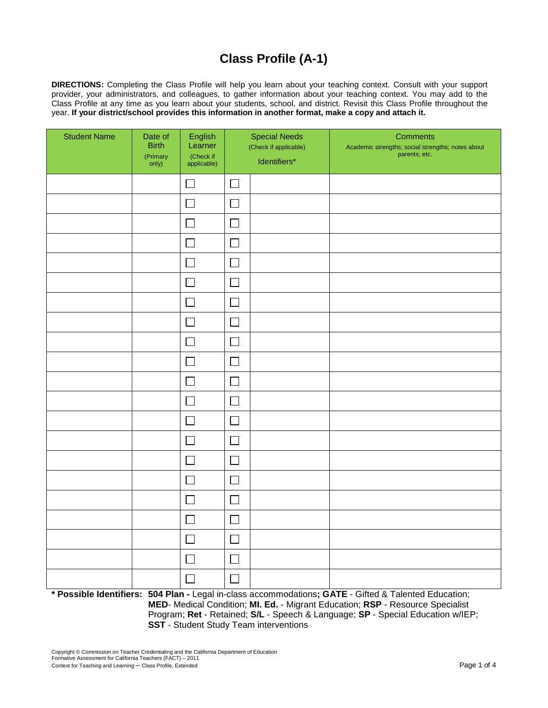# **Class Profile (A-1)**

 **DIRECTIONS:** Completing the Class Profile will help you learn about your teaching context. Consult with your support provider, your administrators, and colleagues, to gather information about your teaching context. You may add to the Class Profile at any time as you learn about your students, school, and district. Revisit this Class Profile throughout the year. **If your district/school provides this information in another format, make a copy and attach it.**

| <b>Student Name</b> | Date of<br><b>Birth</b><br>(Primary<br>only) | English<br>Learner<br>(Check if<br>applicable) | <b>Special Needs</b><br>(Check if applicable)<br>Identifiers* |  |  |  | <b>Comments</b><br>Academic strengths; social strengths; notes about<br>parents; etc. |
|---------------------|----------------------------------------------|------------------------------------------------|---------------------------------------------------------------|--|--|--|---------------------------------------------------------------------------------------|
|                     |                                              | $\Box$                                         | $\Box$                                                        |  |  |  |                                                                                       |
|                     |                                              | ப                                              | 凵                                                             |  |  |  |                                                                                       |
|                     |                                              | $\mathsf{L}$                                   | $\mathsf{I}$                                                  |  |  |  |                                                                                       |
|                     |                                              | $\Box$                                         | $\Box$                                                        |  |  |  |                                                                                       |
|                     |                                              | $\Box$                                         | $\Box$                                                        |  |  |  |                                                                                       |
|                     |                                              | $\Box$                                         | $\Box$                                                        |  |  |  |                                                                                       |
|                     |                                              | $\mathsf{L}$                                   |                                                               |  |  |  |                                                                                       |
|                     |                                              |                                                | $\mathcal{L}_{\mathcal{A}}$                                   |  |  |  |                                                                                       |
|                     |                                              | $\Box$                                         | $\Box$                                                        |  |  |  |                                                                                       |
|                     |                                              | $\Box$                                         | $\Box$                                                        |  |  |  |                                                                                       |
|                     |                                              | $\Box$                                         | $\Box$                                                        |  |  |  |                                                                                       |
|                     |                                              | $\Box$                                         | $\Box$                                                        |  |  |  |                                                                                       |
|                     |                                              | $\mathsf{L}$                                   | $\Box$                                                        |  |  |  |                                                                                       |
|                     |                                              | $\Box$                                         | $\Box$                                                        |  |  |  |                                                                                       |
|                     |                                              | $\Box$                                         | $\Box$                                                        |  |  |  |                                                                                       |
|                     |                                              | $\Box$                                         | $\Box$                                                        |  |  |  |                                                                                       |
|                     |                                              | $\overline{\phantom{a}}$                       |                                                               |  |  |  |                                                                                       |
|                     |                                              | $\mathsf{L}$                                   | $\mathbf{L}$                                                  |  |  |  |                                                                                       |
|                     |                                              | $\Box$                                         | $\Box$                                                        |  |  |  |                                                                                       |
|                     |                                              | $\Box$                                         | $\Box$                                                        |  |  |  |                                                                                       |
|                     |                                              | $\Box$                                         | $\overline{\phantom{a}}$                                      |  |  |  |                                                                                       |

**\* Possible Identifiers: 504 Plan -** Legal in-class accommodations**; GATE** - Gifted & Talented Education; **MED**- Medical Condition; **MI. Ed.** - Migrant Education; **RSP** - Resource Specialist Program; **Ret** - Retained; **S/L** - Speech & Language; **SP** - Special Education w/IEP; **SST** - Student Study Team interventions

Copyright © Commission on Teacher Credentialing and the California Department of Education Formative Assessment for California Teachers (FACT) – 2011 Context for Teaching and Learning – Class Profile, Extended Page 1 of 4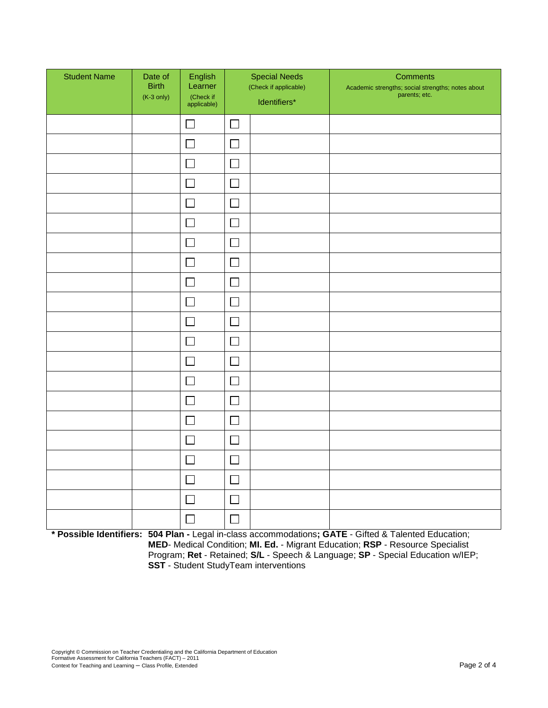| <b>Student Name</b> | Date of<br><b>Birth</b><br>$(K-3)$ only) | English<br>Learner<br>(Check if<br>applicable) | <b>Special Needs</b><br>(Check if applicable)<br>Identifiers* |  |  |  |  |  | <b>Comments</b><br>Academic strengths; social strengths; notes about<br>parents; etc. |
|---------------------|------------------------------------------|------------------------------------------------|---------------------------------------------------------------|--|--|--|--|--|---------------------------------------------------------------------------------------|
|                     |                                          | $\mathcal{L}$                                  | $\Box$                                                        |  |  |  |  |  |                                                                                       |
|                     |                                          | $\mathcal{L}$                                  | $\Box$                                                        |  |  |  |  |  |                                                                                       |
|                     |                                          | $\Box$                                         | $\Box$                                                        |  |  |  |  |  |                                                                                       |
|                     |                                          | $\Box$                                         | $\Box$                                                        |  |  |  |  |  |                                                                                       |
|                     |                                          | $\Box$                                         | $\Box$                                                        |  |  |  |  |  |                                                                                       |
|                     |                                          |                                                | $\Box$                                                        |  |  |  |  |  |                                                                                       |
|                     |                                          |                                                | $\Box$                                                        |  |  |  |  |  |                                                                                       |
|                     |                                          |                                                | $\Box$                                                        |  |  |  |  |  |                                                                                       |
|                     |                                          |                                                | $\Box$                                                        |  |  |  |  |  |                                                                                       |
|                     |                                          | $\Box$                                         | $\Box$                                                        |  |  |  |  |  |                                                                                       |
|                     |                                          | $\mathbb{R}^n$                                 | $\Box$                                                        |  |  |  |  |  |                                                                                       |
|                     |                                          | $\mathcal{L}_{\mathcal{A}}$                    | $\Box$                                                        |  |  |  |  |  |                                                                                       |
|                     |                                          | $\mathbb{R}^2$                                 | $\Box$                                                        |  |  |  |  |  |                                                                                       |
|                     |                                          | $\Box$                                         | $\Box$                                                        |  |  |  |  |  |                                                                                       |
|                     |                                          | $\Box$                                         | $\Box$                                                        |  |  |  |  |  |                                                                                       |
|                     |                                          | $\mathbf{L}$                                   | $\Box$                                                        |  |  |  |  |  |                                                                                       |
|                     |                                          | ×                                              | $\Box$                                                        |  |  |  |  |  |                                                                                       |
|                     |                                          | П                                              | $\Box$                                                        |  |  |  |  |  |                                                                                       |
|                     |                                          |                                                | $\Box$                                                        |  |  |  |  |  |                                                                                       |
|                     |                                          | $\mathbf{I}$                                   | $\Box$                                                        |  |  |  |  |  |                                                                                       |
|                     |                                          |                                                | $\Box$                                                        |  |  |  |  |  |                                                                                       |

**\* Possible Identifiers: 504 Plan -** Legal in-class accommodations**; GATE** - Gifted & Talented Education; **MED**- Medical Condition; **MI. Ed.** - Migrant Education; **RSP** - Resource Specialist Program; **Ret** - Retained; **S/L** - Speech & Language; **SP** - Special Education w/IEP; **SST** - Student StudyTeam interventions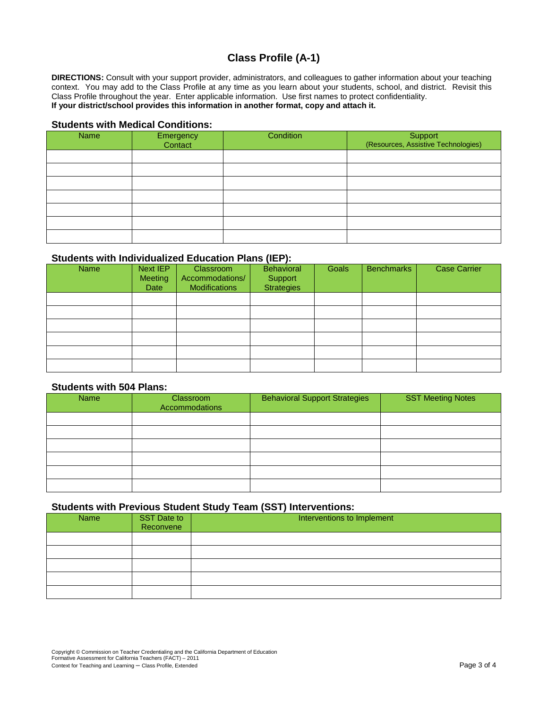## **Class Profile (A-1)**

**DIRECTIONS:** Consult with your support provider, administrators, and colleagues to gather information about your teaching context. You may add to the Class Profile at any time as you learn about your students, school, and district. Revisit this Class Profile throughout the year. Enter applicable information. Use first names to protect confidentiality. **If your district/school provides this information in another format, copy and attach it.**

#### **Students with Medical Conditions:**

| Name | Emergency<br>Contact | Condition | Support<br>(Resources, Assistive Technologies) |
|------|----------------------|-----------|------------------------------------------------|
|      |                      |           |                                                |
|      |                      |           |                                                |
|      |                      |           |                                                |
|      |                      |           |                                                |
|      |                      |           |                                                |
|      |                      |           |                                                |
|      |                      |           |                                                |

#### **Students with Individualized Education Plans (IEP):**

| <b>Name</b> | Next IEP<br>Meeting<br>Date | <b>Classroom</b><br>Accommodations/<br><b>Modifications</b> | Behavioral<br>Support<br>Strategies | Goals | <b>Benchmarks</b> | <b>Case Carrier</b> |
|-------------|-----------------------------|-------------------------------------------------------------|-------------------------------------|-------|-------------------|---------------------|
|             |                             |                                                             |                                     |       |                   |                     |
|             |                             |                                                             |                                     |       |                   |                     |
|             |                             |                                                             |                                     |       |                   |                     |
|             |                             |                                                             |                                     |       |                   |                     |
|             |                             |                                                             |                                     |       |                   |                     |
|             |                             |                                                             |                                     |       |                   |                     |

#### **Students with 504 Plans:**

| <b>Name</b> | Classroom<br>Accommodations | <b>Behavioral Support Strategies</b> | <b>SST Meeting Notes</b> |
|-------------|-----------------------------|--------------------------------------|--------------------------|
|             |                             |                                      |                          |
|             |                             |                                      |                          |
|             |                             |                                      |                          |
|             |                             |                                      |                          |
|             |                             |                                      |                          |
|             |                             |                                      |                          |

#### **Students with Previous Student Study Team (SST) Interventions:**

| Name | SST Date to<br>Reconvene | Interventions to Implement |  |  |  |  |  |  |
|------|--------------------------|----------------------------|--|--|--|--|--|--|
|      |                          |                            |  |  |  |  |  |  |
|      |                          |                            |  |  |  |  |  |  |
|      |                          |                            |  |  |  |  |  |  |
|      |                          |                            |  |  |  |  |  |  |
|      |                          |                            |  |  |  |  |  |  |